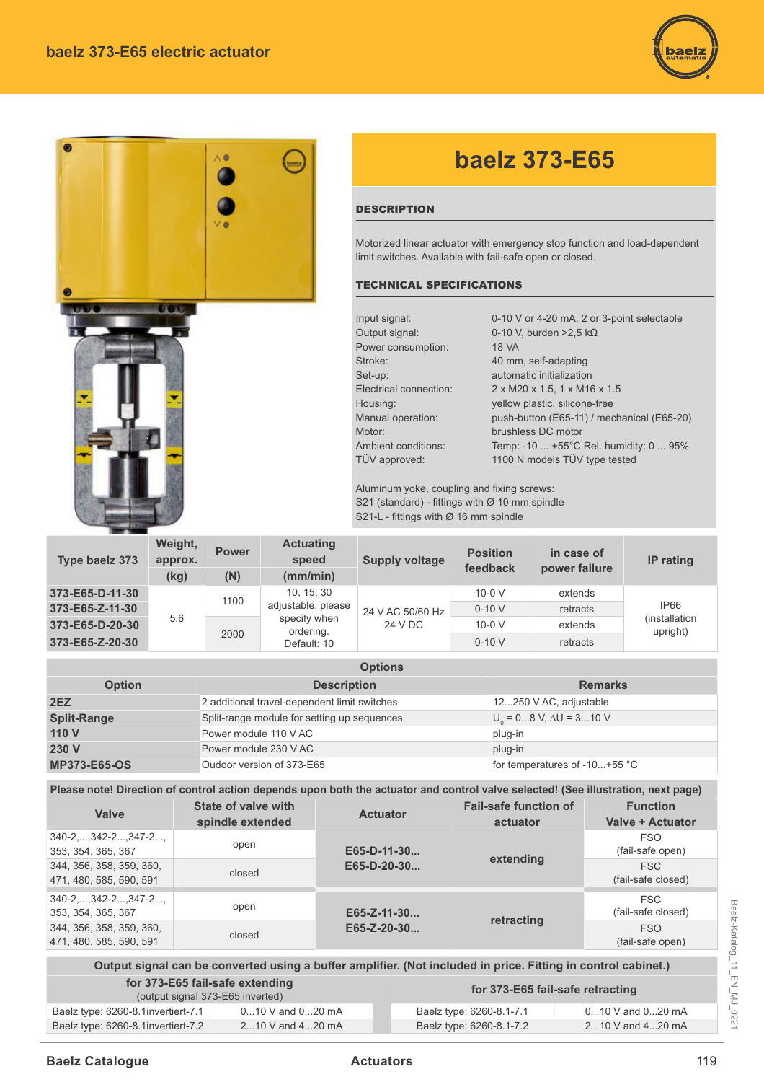



Output signal can be converted using a buffer amplifier. (Not included in price. Fitting in control cabinet.) **for 373-E65 fail-safe extending**  (output signal 373-E65 inverted) **for 373-E65 fail-safe retracting**

| (output signal 373-E65 inverted)      |                      | <b>101 373-L03 Tall-Salte Tetractifier</b> |                      |
|---------------------------------------|----------------------|--------------------------------------------|----------------------|
| Baelz type: $6260-8.1$ invertiert-7.1 | $010$ V and $020$ mA | Baelz type: 6260-8.1-7.1                   | $010$ V and $020$ mA |
| Baelz type: 6260-8.1 invertiert-7.2   | 210 V and 420 mA     | Baelz type: 6260-8.1-7.2                   | 210 V and 420 mA     |
|                                       |                      |                                            |                      |